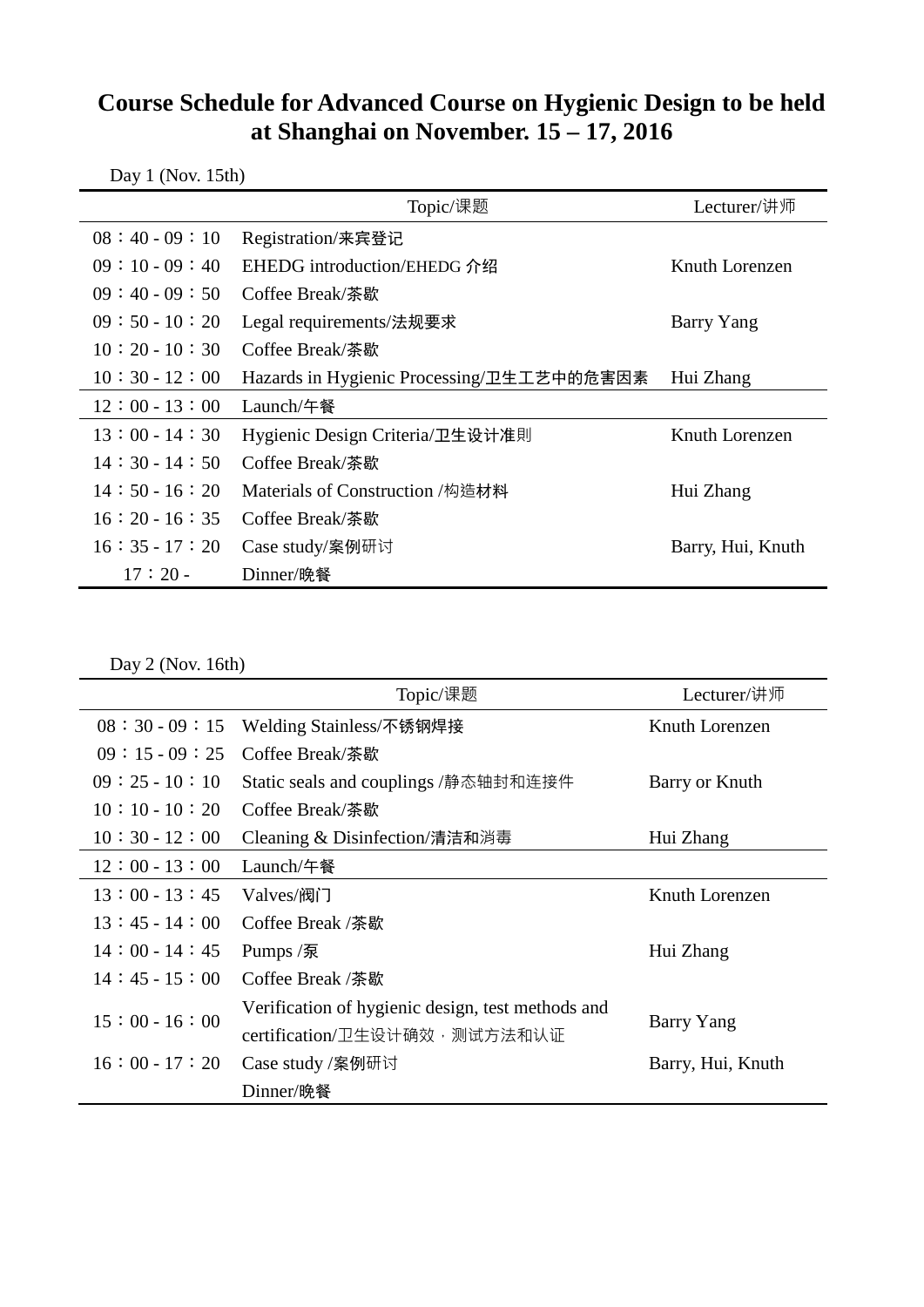## **Course Schedule for Advanced Course on Hygienic Design to be held at Shanghai on November. 15 – 17, 2016**

|                 | Topic/课题                                  | Lecturer/讲师       |  |  |
|-----------------|-------------------------------------------|-------------------|--|--|
| $08:40-09:10$   | Registration/来宾登记                         |                   |  |  |
| $09:10-09:40$   | EHEDG introduction/EHEDG 介绍               | Knuth Lorenzen    |  |  |
| $09:40-09:50$   | Coffee Break/荼歇                           |                   |  |  |
| $09:50-10:20$   | Legal requirements/法规要求                   | Barry Yang        |  |  |
| $10:20-10:30$   | Coffee Break/茶歇                           |                   |  |  |
| $10:30 - 12:00$ | Hazards in Hygienic Processing/卫生工艺中的危害因素 | Hui Zhang         |  |  |
| $12:00 - 13:00$ | Launch/午餐                                 |                   |  |  |
| $13:00 - 14:30$ | Hygienic Design Criteria/卫生设计准則           | Knuth Lorenzen    |  |  |
| $14:30-14:50$   | Coffee Break/茶歇                           |                   |  |  |
| $14:50-16:20$   | Materials of Construction /构造材料           | Hui Zhang         |  |  |
| $16:20-16:35$   | Coffee Break/荼歇                           |                   |  |  |
| $16:35 - 17:20$ | Case study/案例研讨                           | Barry, Hui, Knuth |  |  |
| $17:20-$        | Dinner/晚餐                                 |                   |  |  |

Day 1 (Nov. 15th)

Day 2 (Nov. 16th)

|                 | Topic/课题                                          | Lecturer/讲师       |
|-----------------|---------------------------------------------------|-------------------|
| $08:30-09:15$   | Welding Stainless/不锈钢焊接                           | Knuth Lorenzen    |
| $09:15-09:25$   | Coffee Break/茶歇                                   |                   |
| $09:25-10:10$   | Static seals and couplings /静态轴封和连接件              | Barry or Knuth    |
| $10:10-10:20$   | Coffee Break/荼歇                                   |                   |
| $10:30 - 12:00$ | Cleaning & Disinfection/清洁和消毒                     | Hui Zhang         |
| $12:00 - 13:00$ | Launch/午餐                                         |                   |
| $13:00 - 13:45$ | Valves/阀门                                         | Knuth Lorenzen    |
| $13:45-14:00$   | Coffee Break /茶歇                                  |                   |
| $14:00 - 14:45$ | Pumps /泵                                          | Hui Zhang         |
| $14:45-15:00$   | Coffee Break /茶歇                                  |                   |
| $15:00 - 16:00$ | Verification of hygienic design, test methods and | Barry Yang        |
|                 | certification/卫生设计确效•测试方法和认证                      |                   |
| $16:00 - 17:20$ | Case study /案例研讨                                  | Barry, Hui, Knuth |
|                 | Dinner/晚餐                                         |                   |